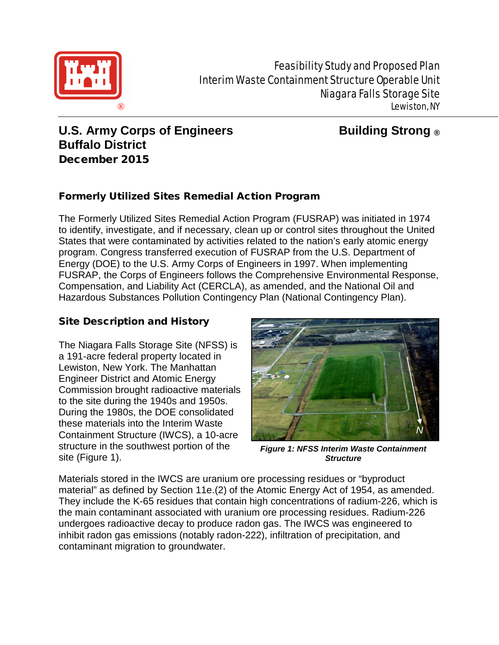

# **U.S. Army Corps of Engineers Building Strong ® Buffalo District** December 2015

# Formerly Utilized Sites Remedial Action Program

The Formerly Utilized Sites Remedial Action Program (FUSRAP) was initiated in 1974 to identify, investigate, and if necessary, clean up or control sites throughout the United States that were contaminated by activities related to the nation's early atomic energy program. Congress transferred execution of FUSRAP from the U.S. Department of Energy (DOE) to the U.S. Army Corps of Engineers in 1997. When implementing FUSRAP, the Corps of Engineers follows the Comprehensive Environmental Response, Compensation, and Liability Act (CERCLA), as amended, and the National Oil and Hazardous Substances Pollution Contingency Plan (National Contingency Plan).

# Site Description and History

The Niagara Falls Storage Site (NFSS) is a 191-acre federal property located in Lewiston, New York. The Manhattan Engineer District and Atomic Energy Commission brought radioactive materials to the site during the 1940s and 1950s. During the 1980s, the DOE consolidated these materials into the Interim Waste Containment Structure (IWCS), a 10-acre structure in the southwest portion of the site (Figure 1).



*Figure 1: NFSS Interim Waste Containment Structure*

Materials stored in the IWCS are uranium ore processing residues or "byproduct material" as defined by Section 11e.(2) of the Atomic Energy Act of 1954, as amended. They include the K-65 residues that contain high concentrations of radium-226, which is the main contaminant associated with uranium ore processing residues. Radium-226 undergoes radioactive decay to produce radon gas. The IWCS was engineered to inhibit radon gas emissions (notably radon-222), infiltration of precipitation, and contaminant migration to groundwater.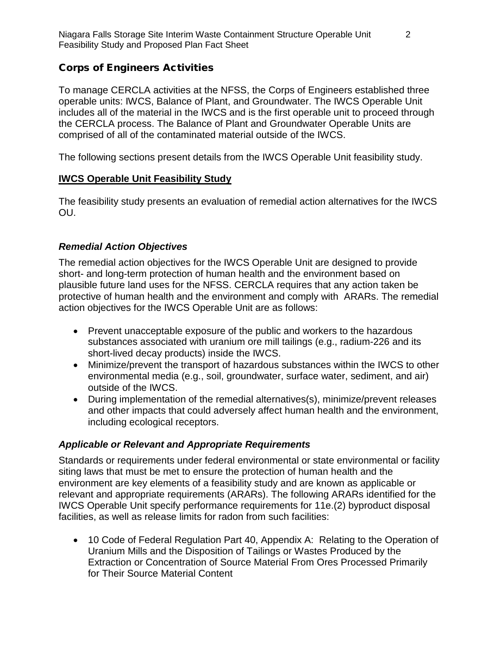## Corps of Engineers Activities

To manage CERCLA activities at the NFSS, the Corps of Engineers established three operable units: IWCS, Balance of Plant, and Groundwater. The IWCS Operable Unit includes all of the material in the IWCS and is the first operable unit to proceed through the CERCLA process. The Balance of Plant and Groundwater Operable Units are comprised of all of the contaminated material outside of the IWCS.

The following sections present details from the IWCS Operable Unit feasibility study.

#### **IWCS Operable Unit Feasibility Study**

The feasibility study presents an evaluation of remedial action alternatives for the IWCS OU.

## *Remedial Action Objectives*

The remedial action objectives for the IWCS Operable Unit are designed to provide short- and long-term protection of human health and the environment based on plausible future land uses for the NFSS. CERCLA requires that any action taken be protective of human health and the environment and comply with ARARs. The remedial action objectives for the IWCS Operable Unit are as follows:

- Prevent unacceptable exposure of the public and workers to the hazardous substances associated with uranium ore mill tailings (e.g., radium-226 and its short-lived decay products) inside the IWCS.
- Minimize/prevent the transport of hazardous substances within the IWCS to other environmental media (e.g., soil, groundwater, surface water, sediment, and air) outside of the IWCS.
- During implementation of the remedial alternatives(s), minimize/prevent releases and other impacts that could adversely affect human health and the environment, including ecological receptors.

## *Applicable or Relevant and Appropriate Requirements*

Standards or requirements under federal environmental or state environmental or facility siting laws that must be met to ensure the protection of human health and the environment are key elements of a feasibility study and are known as applicable or relevant and appropriate requirements (ARARs). The following ARARs identified for the IWCS Operable Unit specify performance requirements for 11e.(2) byproduct disposal facilities, as well as release limits for radon from such facilities:

• 10 Code of Federal Regulation Part 40, Appendix A: Relating to the Operation of Uranium Mills and the Disposition of Tailings or Wastes Produced by the Extraction or Concentration of Source Material From Ores Processed Primarily for Their Source Material Content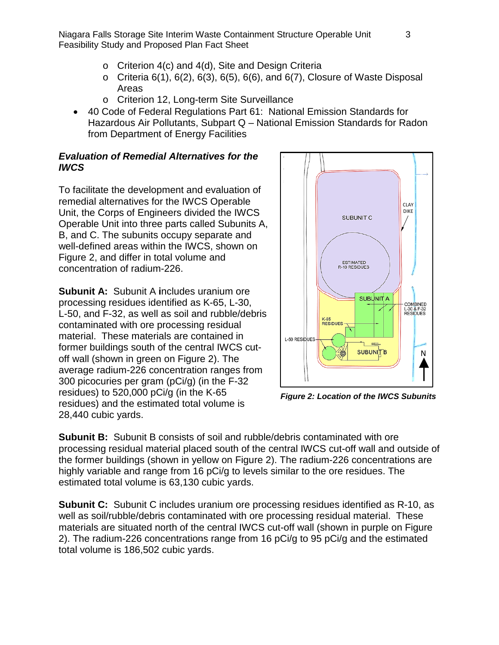Niagara Falls Storage Site Interim Waste Containment Structure Operable Unit 3 Feasibility Study and Proposed Plan Fact Sheet

- o Criterion 4(c) and 4(d), Site and Design Criteria
- $\circ$  Criteria 6(1), 6(2), 6(3), 6(5), 6(6), and 6(7), Closure of Waste Disposal Areas
- o Criterion 12, Long-term Site Surveillance
- 40 Code of Federal Regulations Part 61: National Emission Standards for Hazardous Air Pollutants, Subpart Q – National Emission Standards for Radon from Department of Energy Facilities

## *Evaluation of Remedial Alternatives for the IWCS*

To facilitate the development and evaluation of remedial alternatives for the IWCS Operable Unit, the Corps of Engineers divided the IWCS Operable Unit into three parts called Subunits A, B, and C. The subunits occupy separate and well-defined areas within the IWCS, shown on Figure 2, and differ in total volume and concentration of radium-226.

**Subunit A:** Subunit A **i**ncludes uranium ore processing residues identified as K-65, L-30, L-50, and F-32, as well as soil and rubble/debris contaminated with ore processing residual material. These materials are contained in former buildings south of the central IWCS cutoff wall (shown in green on Figure 2). The average radium-226 concentration ranges from 300 picocuries per gram (pCi/g) (in the F-32 residues) to 520,000 pCi/g (in the K-65 residues) and the estimated total volume is 28,440 cubic yards.



*Figure 2: Location of the IWCS Subunits*

**Subunit B:** Subunit B consists of soil and rubble/debris contaminated with ore processing residual material placed south of the central IWCS cut-off wall and outside of the former buildings (shown in yellow on Figure 2). The radium-226 concentrations are highly variable and range from 16 pCi/g to levels similar to the ore residues. The estimated total volume is 63,130 cubic yards.

**Subunit C:** Subunit C includes uranium ore processing residues identified as R-10, as well as soil/rubble/debris contaminated with ore processing residual material. These materials are situated north of the central IWCS cut-off wall (shown in purple on Figure 2). The radium-226 concentrations range from 16 pCi/g to 95 pCi/g and the estimated total volume is 186,502 cubic yards.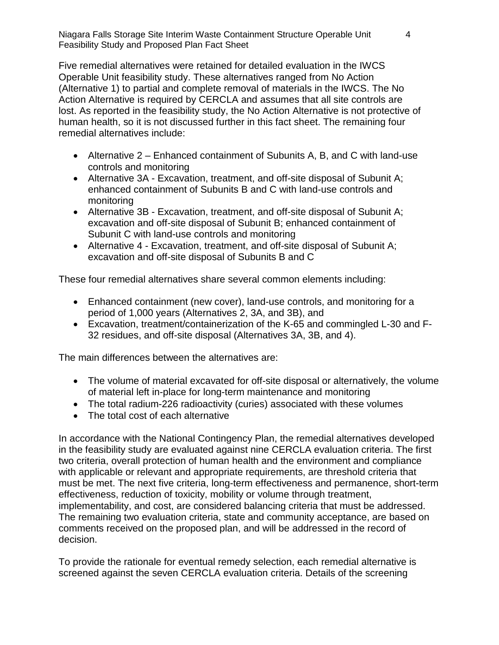Niagara Falls Storage Site Interim Waste Containment Structure Operable Unit 4 Feasibility Study and Proposed Plan Fact Sheet

Five remedial alternatives were retained for detailed evaluation in the IWCS Operable Unit feasibility study. These alternatives ranged from No Action (Alternative 1) to partial and complete removal of materials in the IWCS. The No Action Alternative is required by CERCLA and assumes that all site controls are lost. As reported in the feasibility study, the No Action Alternative is not protective of human health, so it is not discussed further in this fact sheet. The remaining four remedial alternatives include:

- Alternative 2 Enhanced containment of Subunits A, B, and C with land-use controls and monitoring
- Alternative 3A Excavation, treatment, and off-site disposal of Subunit A; enhanced containment of Subunits B and C with land-use controls and monitoring
- Alternative 3B Excavation, treatment, and off-site disposal of Subunit A; excavation and off-site disposal of Subunit B; enhanced containment of Subunit C with land-use controls and monitoring
- Alternative 4 Excavation, treatment, and off-site disposal of Subunit A; excavation and off-site disposal of Subunits B and C

These four remedial alternatives share several common elements including:

- Enhanced containment (new cover), land-use controls, and monitoring for a period of 1,000 years (Alternatives 2, 3A, and 3B), and
- Excavation, treatment/containerization of the K-65 and commingled L-30 and F-32 residues, and off-site disposal (Alternatives 3A, 3B, and 4).

The main differences between the alternatives are:

- The volume of material excavated for off-site disposal or alternatively, the volume of material left in-place for long-term maintenance and monitoring
- The total radium-226 radioactivity (curies) associated with these volumes
- The total cost of each alternative

In accordance with the National Contingency Plan, the remedial alternatives developed in the feasibility study are evaluated against nine CERCLA evaluation criteria. The first two criteria, overall protection of human health and the environment and compliance with applicable or relevant and appropriate requirements, are threshold criteria that must be met. The next five criteria, long-term effectiveness and permanence, short-term effectiveness, reduction of toxicity, mobility or volume through treatment, implementability, and cost, are considered balancing criteria that must be addressed. The remaining two evaluation criteria, state and community acceptance, are based on comments received on the proposed plan, and will be addressed in the record of decision.

To provide the rationale for eventual remedy selection, each remedial alternative is screened against the seven CERCLA evaluation criteria. Details of the screening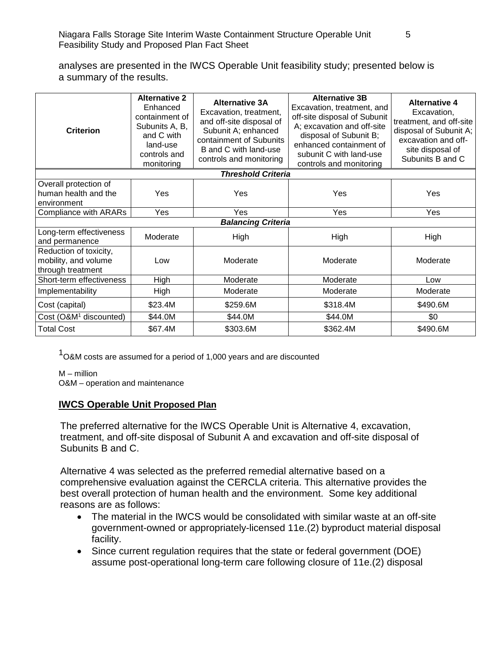analyses are presented in the IWCS Operable Unit feasibility study; presented below is a summary of the results.

| <b>Criterion</b>                                                    | <b>Alternative 2</b><br>Enhanced<br>containment of<br>Subunits A, B,<br>and C with<br>land-use<br>controls and<br>monitoring | <b>Alternative 3A</b><br>Excavation, treatment,<br>and off-site disposal of<br>Subunit A; enhanced<br>containment of Subunits<br>B and C with land-use<br>controls and monitoring | <b>Alternative 3B</b><br>Excavation, treatment, and<br>off-site disposal of Subunit<br>A; excavation and off-site<br>disposal of Subunit B;<br>enhanced containment of<br>subunit C with land-use<br>controls and monitoring | <b>Alternative 4</b><br>Excavation,<br>treatment, and off-site<br>disposal of Subunit A;<br>excavation and off-<br>site disposal of<br>Subunits B and C |
|---------------------------------------------------------------------|------------------------------------------------------------------------------------------------------------------------------|-----------------------------------------------------------------------------------------------------------------------------------------------------------------------------------|------------------------------------------------------------------------------------------------------------------------------------------------------------------------------------------------------------------------------|---------------------------------------------------------------------------------------------------------------------------------------------------------|
| <b>Threshold Criteria</b>                                           |                                                                                                                              |                                                                                                                                                                                   |                                                                                                                                                                                                                              |                                                                                                                                                         |
| Overall protection of<br>human health and the<br>environment        | Yes                                                                                                                          | Yes                                                                                                                                                                               | Yes                                                                                                                                                                                                                          | Yes                                                                                                                                                     |
| Compliance with ARARs                                               | Yes                                                                                                                          | Yes                                                                                                                                                                               | Yes                                                                                                                                                                                                                          | Yes                                                                                                                                                     |
| <b>Balancing Criteria</b>                                           |                                                                                                                              |                                                                                                                                                                                   |                                                                                                                                                                                                                              |                                                                                                                                                         |
| Long-term effectiveness<br>and permanence                           | Moderate                                                                                                                     | High                                                                                                                                                                              | High                                                                                                                                                                                                                         | High                                                                                                                                                    |
| Reduction of toxicity,<br>mobility, and volume<br>through treatment | Low                                                                                                                          | Moderate                                                                                                                                                                          | Moderate                                                                                                                                                                                                                     | Moderate                                                                                                                                                |
| Short-term effectiveness                                            | High                                                                                                                         | Moderate                                                                                                                                                                          | Moderate                                                                                                                                                                                                                     | Low                                                                                                                                                     |
| Implementability                                                    | High                                                                                                                         | Moderate                                                                                                                                                                          | Moderate                                                                                                                                                                                                                     | Moderate                                                                                                                                                |
| Cost (capital)                                                      | \$23.4M                                                                                                                      | \$259.6M                                                                                                                                                                          | \$318.4M                                                                                                                                                                                                                     | \$490.6M                                                                                                                                                |
| Cost (O&M <sup>1</sup> discounted)                                  | \$44.0M                                                                                                                      | \$44.0M                                                                                                                                                                           | \$44.0M                                                                                                                                                                                                                      | \$0                                                                                                                                                     |
| <b>Total Cost</b>                                                   | \$67.4M                                                                                                                      | \$303.6M                                                                                                                                                                          | \$362.4M                                                                                                                                                                                                                     | \$490.6M                                                                                                                                                |

1O&M costs are assumed for <sup>a</sup> period of 1,000 years and are discounted

M – million

O&M – operation and maintenance

#### **IWCS Operable Unit Proposed Plan**

The preferred alternative for the IWCS Operable Unit is Alternative 4, excavation, treatment, and off-site disposal of Subunit A and excavation and off-site disposal of Subunits B and C.

Alternative 4 was selected as the preferred remedial alternative based on a comprehensive evaluation against the CERCLA criteria. This alternative provides the best overall protection of human health and the environment. Some key additional reasons are as follows:

- The material in the IWCS would be consolidated with similar waste at an off-site government-owned or appropriately-licensed 11e.(2) byproduct material disposal facility.
- Since current regulation requires that the state or federal government (DOE) assume post-operational long-term care following closure of 11e.(2) disposal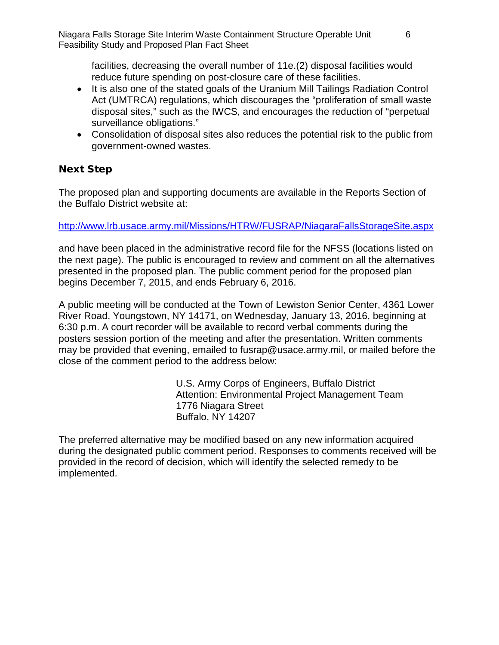facilities, decreasing the overall number of 11e.(2) disposal facilities would reduce future spending on post-closure care of these facilities.

- It is also one of the stated goals of the Uranium Mill Tailings Radiation Control Act (UMTRCA) regulations, which discourages the "proliferation of small waste disposal sites," such as the IWCS, and encourages the reduction of "perpetual surveillance obligations."
- Consolidation of disposal sites also reduces the potential risk to the public from government-owned wastes.

## Next Step

The proposed plan and supporting documents are available in the Reports Section of the Buffalo District website at:

#### <http://www.lrb.usace.army.mil/Missions/HTRW/FUSRAP/NiagaraFallsStorageSite.aspx>

and have been placed in the administrative record file for the NFSS (locations listed on the next page). The public is encouraged to review and comment on all the alternatives presented in the proposed plan. The public comment period for the proposed plan begins December 7, 2015, and ends February 6, 2016.

A public meeting will be conducted at the Town of Lewiston Senior Center, 4361 Lower River Road, Youngstown, NY 14171, on Wednesday, January 13, 2016, beginning at 6:30 p.m. A court recorder will be available to record verbal comments during the posters session portion of the meeting and after the presentation. Written comments may be provided that evening, emailed to fusrap@usace.army.mil, or mailed before the close of the comment period to the address below:

> U.S. Army Corps of Engineers, Buffalo District Attention: Environmental Project Management Team 1776 Niagara Street Buffalo, NY 14207

The preferred alternative may be modified based on any new information acquired during the designated public comment period. Responses to comments received will be provided in the record of decision, which will identify the selected remedy to be implemented.